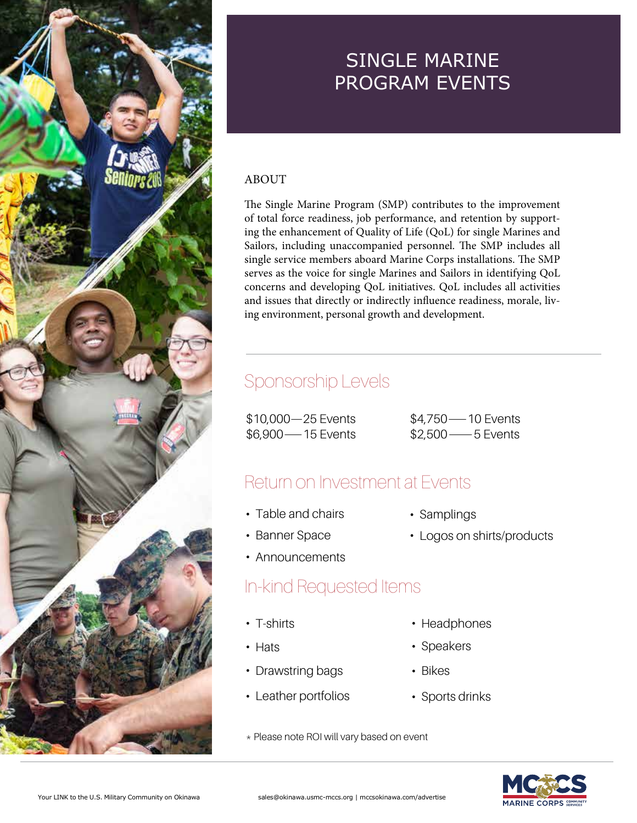

#### ABOUT

The Single Marine Program (SMP) contributes to the improvement of total force readiness, job performance, and retention by supporting the enhancement of Quality of Life (QoL) for single Marines and Sailors, including unaccompanied personnel. The SMP includes all single service members aboard Marine Corps installations. The SMP serves as the voice for single Marines and Sailors in identifying QoL concerns and developing QoL initiatives. QoL includes all activities and issues that directly or indirectly influence readiness, morale, living environment, personal growth and development.

#### Sponsorship Levels

\$10,000—25 Events \$6,900—15 Events

\$4,750—10 Events \$2,500—5 Events

#### Return on Investment at Events

- Table and chairs
- Banner Space
- Announcements

#### In-kind Requested Items

- T-shirts
- Hats
- Drawstring bags
- Leather portfolios
- \* Please note ROI will vary based on event
- Samplings
- Logos on shirts/products

**MARINE CORP:** 

- Headphones
- Speakers
- Bikes
- Sports drinks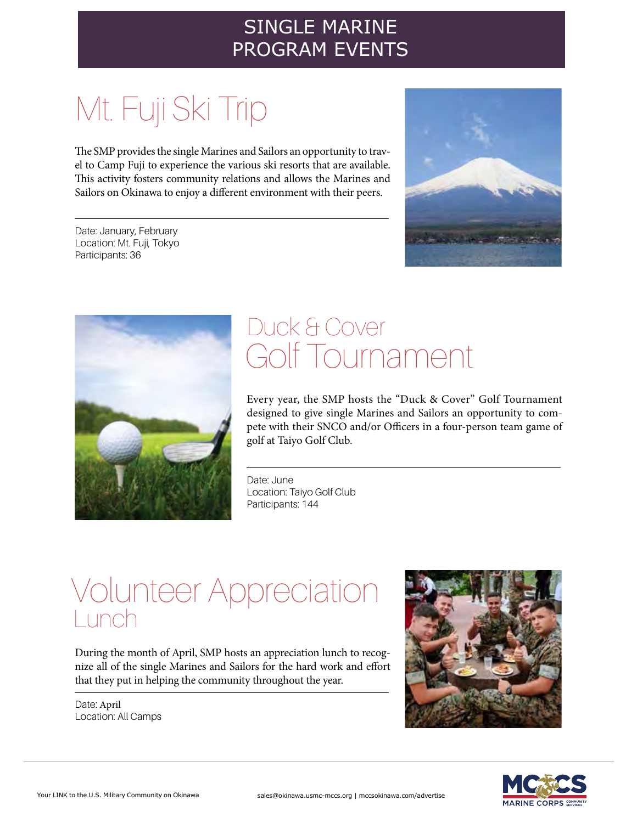## Mt. Fuji Ski Trip

The SMP provides the single Marines and Sailors an opportunity to travel to Camp Fuji to experience the various ski resorts that are available. This activity fosters community relations and allows the Marines and Sailors on Okinawa to enjoy a different environment with their peers.

Date: January, February Location: Mt. Fuji, Tokyo Participants: 36





### Golf Tournament Duck & Cover

Every year, the SMP hosts the "Duck & Cover" Golf Tournament designed to give single Marines and Sailors an opportunity to compete with their SNCO and/or Officers in a four-person team game of golf at Taiyo Golf Club.

Date: June Location: Taiyo Golf Club Participants: 144

### Volunteer Appreciation Lunch

During the month of April, SMP hosts an appreciation lunch to recognize all of the single Marines and Sailors for the hard work and effort that they put in helping the community throughout the year.

Date: April Location: All Camps



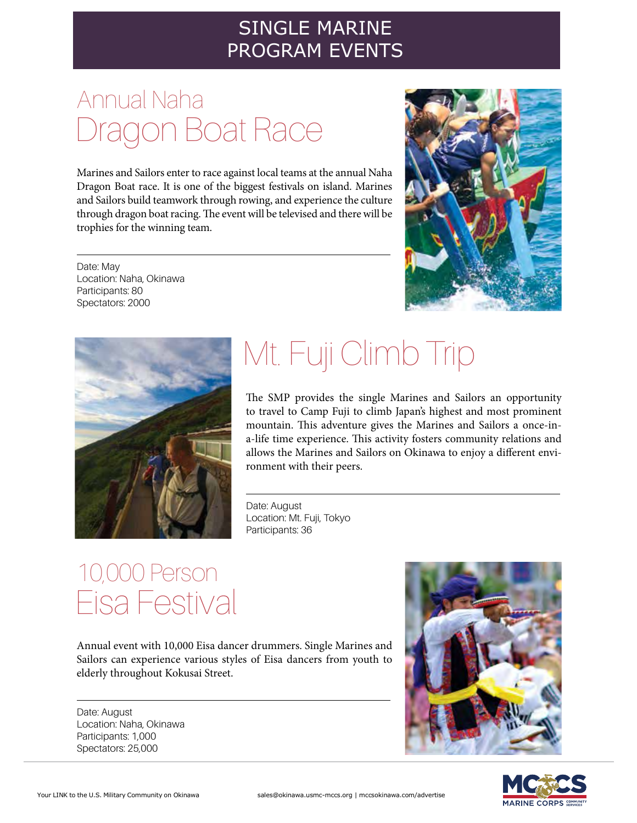### Dragon Boat Race Annual Naha

Marines and Sailors enter to race against local teams at the annual Naha Dragon Boat race. It is one of the biggest festivals on island. Marines and Sailors build teamwork through rowing, and experience the culture through dragon boat racing. The event will be televised and there will be trophies for the winning team.

Date: May Location: Naha, Okinawa Participants: 80 Spectators: 2000





# Mt. Fuji Climb Trip

The SMP provides the single Marines and Sailors an opportunity to travel to Camp Fuji to climb Japan's highest and most prominent mountain. This adventure gives the Marines and Sailors a once-ina-life time experience. This activity fosters community relations and allows the Marines and Sailors on Okinawa to enjoy a different environment with their peers.

Date: August Location: Mt. Fuji, Tokyo Participants: 36

### Eisa Festival 10,000 Person

Annual event with 10,000 Eisa dancer drummers. Single Marines and Sailors can experience various styles of Eisa dancers from youth to elderly throughout Kokusai Street.

Date: August Location: Naha, Okinawa Participants: 1,000 Spectators: 25,000



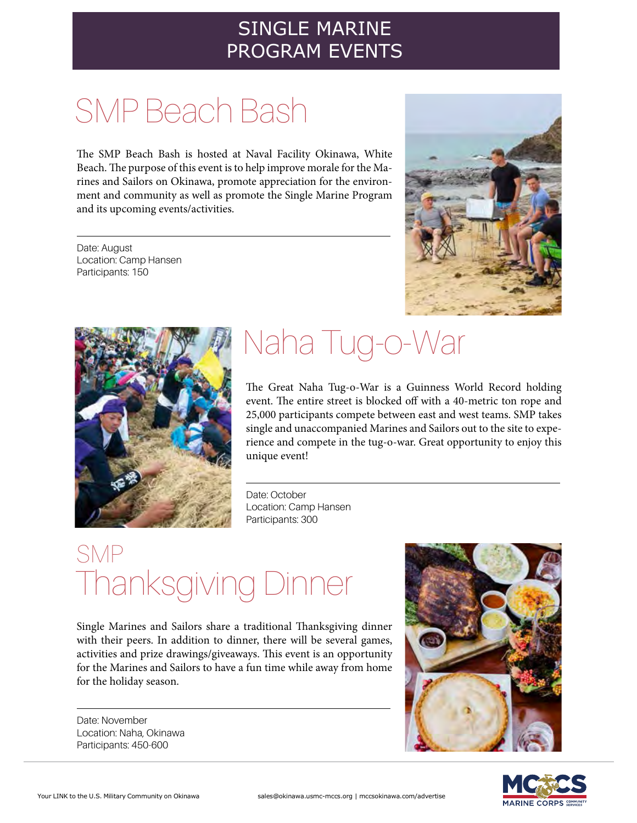## SMP Beach Bash

The SMP Beach Bash is hosted at Naval Facility Okinawa, White Beach. The purpose of this event is to help improve morale for the Marines and Sailors on Okinawa, promote appreciation for the environment and community as well as promote the Single Marine Program and its upcoming events/activities.

Date: August Location: Camp Hansen Participants: 150





### Naha Tug-o-War

The Great Naha Tug-o-War is a Guinness World Record holding event. The entire street is blocked off with a 40-metric ton rope and 25,000 participants compete between east and west teams. SMP takes single and unaccompanied Marines and Sailors out to the site to experience and compete in the tug-o-war. Great opportunity to enjoy this unique event!

Date: October Location: Camp Hansen Participants: 300

### Thanksgiving Dinner SMP

Single Marines and Sailors share a traditional Thanksgiving dinner with their peers. In addition to dinner, there will be several games, activities and prize drawings/giveaways. This event is an opportunity for the Marines and Sailors to have a fun time while away from home for the holiday season.

Date: November Location: Naha, Okinawa Participants: 450-600



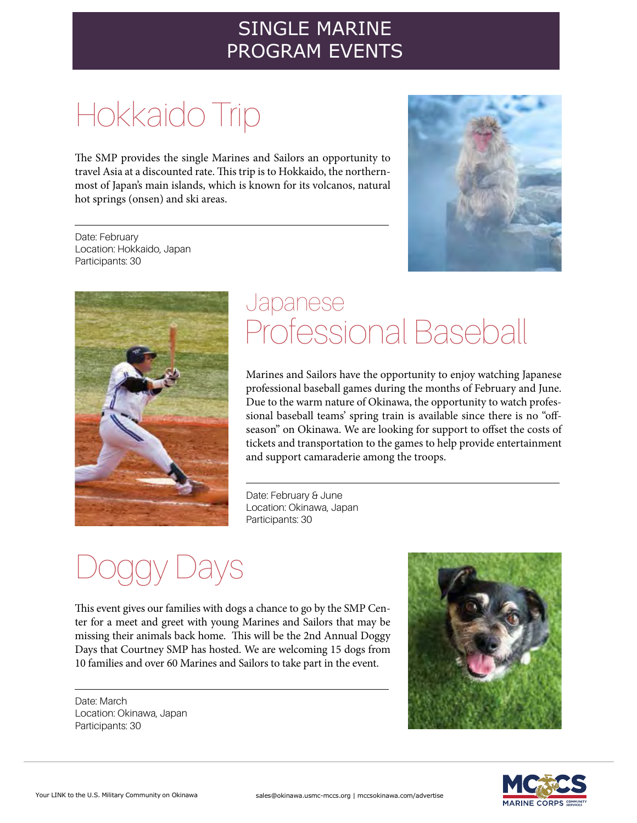## Hokkaido Trip

The SMP provides the single Marines and Sailors an opportunity to travel Asia at a discounted rate. This trip is to Hokkaido, the northernmost of Japan's main islands, which is known for its volcanos, natural hot springs (onsen) and ski areas.

Date: February Location: Hokkaido, Japan Participants: 30





### Professional Baseball Japanese

Marines and Sailors have the opportunity to enjoy watching Japanese professional baseball games during the months of February and June. Due to the warm nature of Okinawa, the opportunity to watch professional baseball teams' spring train is available since there is no "offseason" on Okinawa. We are looking for support to offset the costs of tickets and transportation to the games to help provide entertainment and support camaraderie among the troops.

Date: February & June Location: Okinawa, Japan Participants: 30

## ays

This event gives our families with dogs a chance to go by the SMP Center for a meet and greet with young Marines and Sailors that may be missing their animals back home. This will be the 2nd Annual Doggy Days that Courtney SMP has hosted. We are welcoming 15 dogs from 10 families and over 60 Marines and Sailors to take part in the event.

Date: March Location: Okinawa, Japan Participants: 30



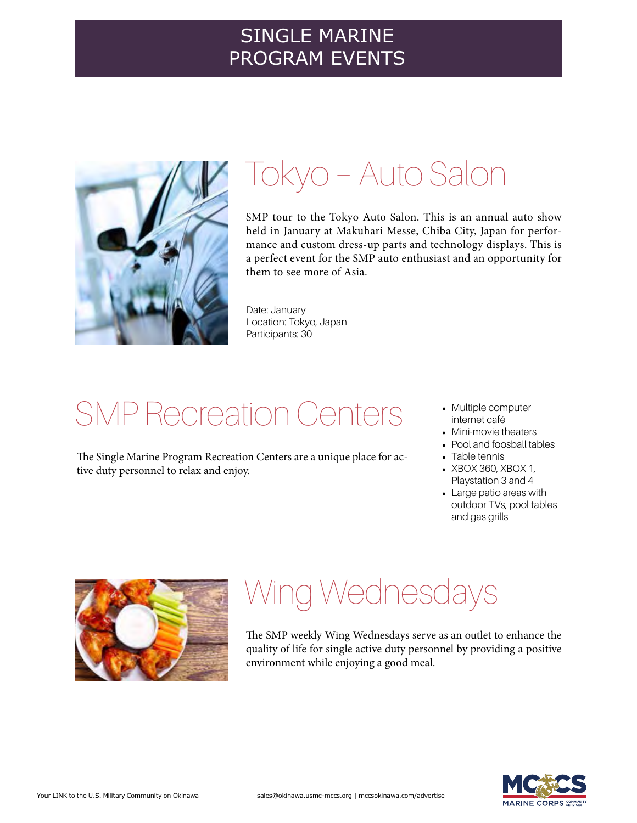

### Tokyo – Auto Salon

SMP tour to the Tokyo Auto Salon. This is an annual auto show held in January at Makuhari Messe, Chiba City, Japan for performance and custom dress-up parts and technology displays. This is a perfect event for the SMP auto enthusiast and an opportunity for them to see more of Asia.

Date: January Location: Tokyo, Japan Participants: 30

### SMP Recreation Centers

The Single Marine Program Recreation Centers are a unique place for active duty personnel to relax and enjoy.

- Multiple computer internet café
- Mini-movie theaters
- Pool and foosball tables
- Table tennis
- XBOX 360, XBOX 1, Playstation 3 and 4
- Large patio areas with outdoor TVs, pool tables and gas grills



## Wing Wednesdays

The SMP weekly Wing Wednesdays serve as an outlet to enhance the quality of life for single active duty personnel by providing a positive environment while enjoying a good meal.

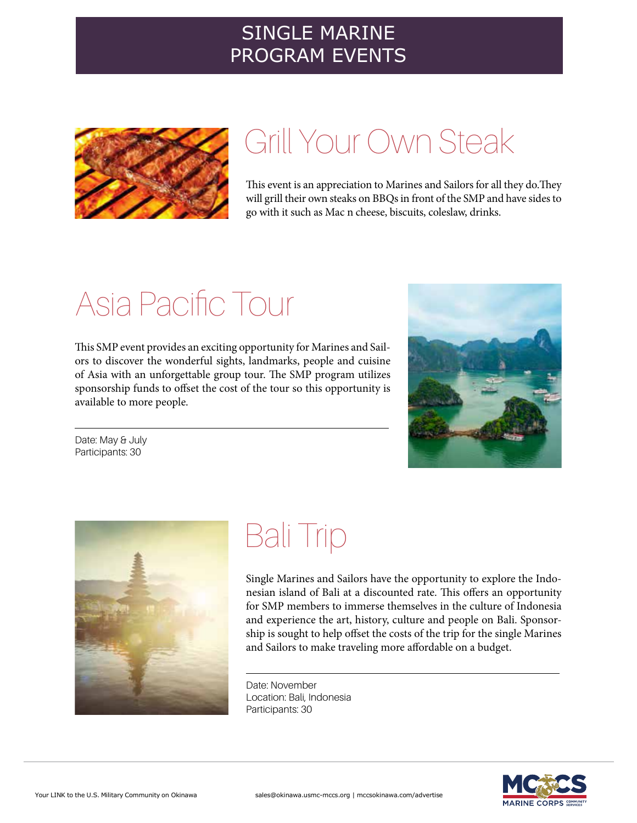

### Grill Your Own Steak

This event is an appreciation to Marines and Sailors for all they do.They will grill their own steaks on BBQs in front of the SMP and have sides to go with it such as Mac n cheese, biscuits, coleslaw, drinks.

## Asia Pacific Tour

This SMP event provides an exciting opportunity for Marines and Sailors to discover the wonderful sights, landmarks, people and cuisine of Asia with an unforgettable group tour. The SMP program utilizes sponsorship funds to offset the cost of the tour so this opportunity is available to more people.



Date: May & July Participants: 30



### Bali Trip

Single Marines and Sailors have the opportunity to explore the Indonesian island of Bali at a discounted rate. This offers an opportunity for SMP members to immerse themselves in the culture of Indonesia and experience the art, history, culture and people on Bali. Sponsorship is sought to help offset the costs of the trip for the single Marines and Sailors to make traveling more affordable on a budget.

Date: November Location: Bali, Indonesia Participants: 30